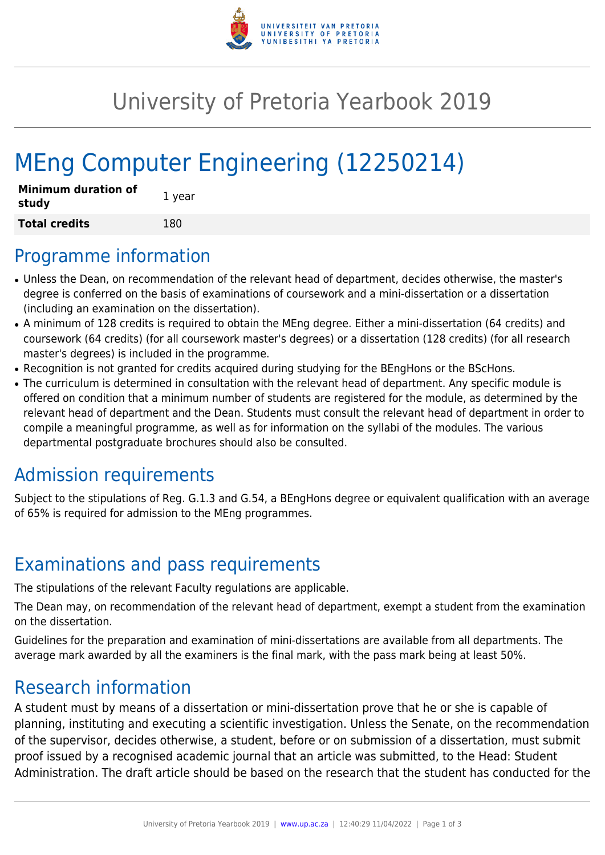

## University of Pretoria Yearbook 2019

# MEng Computer Engineering (12250214)

| <b>Minimum duration of</b><br>study | 1 year |
|-------------------------------------|--------|
| <b>Total credits</b>                | 180    |

#### Programme information

- Unless the Dean, on recommendation of the relevant head of department, decides otherwise, the master's degree is conferred on the basis of examinations of coursework and a mini-dissertation or a dissertation (including an examination on the dissertation).
- A minimum of 128 credits is required to obtain the MEng degree. Either a mini-dissertation (64 credits) and coursework (64 credits) (for all coursework master's degrees) or a dissertation (128 credits) (for all research master's degrees) is included in the programme.
- Recognition is not granted for credits acquired during studying for the BEngHons or the BScHons.
- The curriculum is determined in consultation with the relevant head of department. Any specific module is offered on condition that a minimum number of students are registered for the module, as determined by the relevant head of department and the Dean. Students must consult the relevant head of department in order to compile a meaningful programme, as well as for information on the syllabi of the modules. The various departmental postgraduate brochures should also be consulted.

### Admission requirements

Subject to the stipulations of Reg. G.1.3 and G.54, a BEngHons degree or equivalent qualification with an average of 65% is required for admission to the MEng programmes.

### Examinations and pass requirements

The stipulations of the relevant Faculty regulations are applicable.

The Dean may, on recommendation of the relevant head of department, exempt a student from the examination on the dissertation.

Guidelines for the preparation and examination of mini-dissertations are available from all departments. The average mark awarded by all the examiners is the final mark, with the pass mark being at least 50%.

#### Research information

A student must by means of a dissertation or mini-dissertation prove that he or she is capable of planning, instituting and executing a scientific investigation. Unless the Senate, on the recommendation of the supervisor, decides otherwise, a student, before or on submission of a dissertation, must submit proof issued by a recognised academic journal that an article was submitted, to the Head: Student Administration. The draft article should be based on the research that the student has conducted for the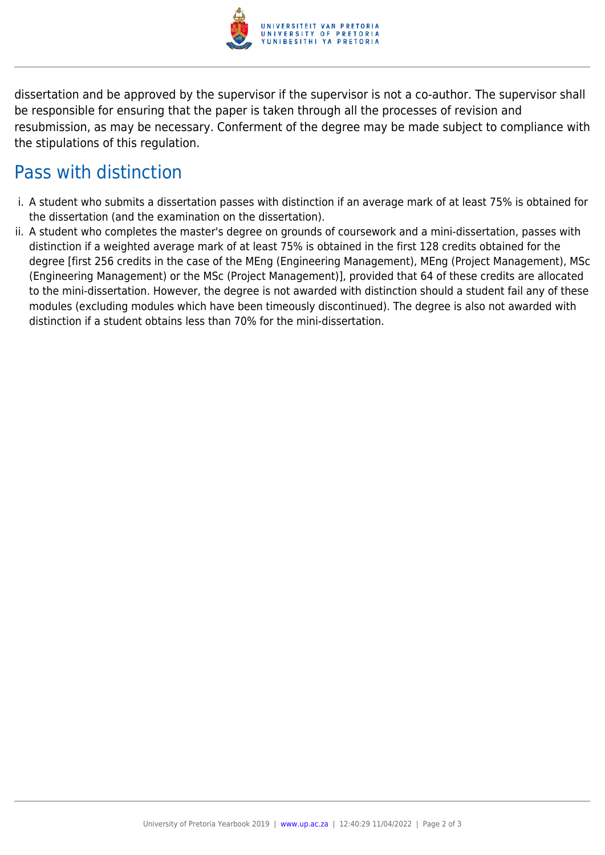

dissertation and be approved by the supervisor if the supervisor is not a co-author. The supervisor shall be responsible for ensuring that the paper is taken through all the processes of revision and resubmission, as may be necessary. Conferment of the degree may be made subject to compliance with the stipulations of this regulation.

### Pass with distinction

- i. A student who submits a dissertation passes with distinction if an average mark of at least 75% is obtained for the dissertation (and the examination on the dissertation).
- ii. A student who completes the master's degree on grounds of coursework and a mini-dissertation, passes with distinction if a weighted average mark of at least 75% is obtained in the first 128 credits obtained for the degree [first 256 credits in the case of the MEng (Engineering Management), MEng (Project Management), MSc (Engineering Management) or the MSc (Project Management)], provided that 64 of these credits are allocated to the mini-dissertation. However, the degree is not awarded with distinction should a student fail any of these modules (excluding modules which have been timeously discontinued). The degree is also not awarded with distinction if a student obtains less than 70% for the mini-dissertation.